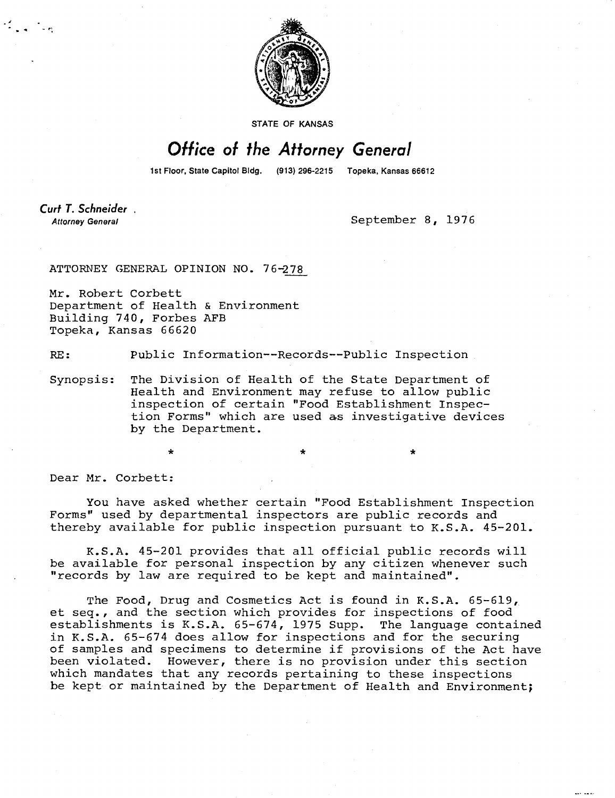

STATE OF KANSAS

## Office of the Attorney General

1st Floor, State Capitol Bldg. (913) 296-2215 Topeka, Kansas 66612

Curt T. Schneider. **Attorney General** 

September 8, 1976

ATTORNEY GENERAL OPINION NO. 76 -278

Mr. Robert Corbett Department of Health & Environment Building 740, Forbes AFB Topeka, Kansas 66620

RE: Public Information--Records--Public Inspection

Synopsis: The Division of Health of the State Department of Health and Environment may refuse to allow public inspection of certain "Food Establishment Inspection Forms" which are used as investigative devices by the Department.

Dear Mr. Corbett:

You have asked whether certain "Food Establishment Inspection Forms" used by departmental inspectors are public records and thereby available for public inspection pursuant to K.S.A. 45-201.

K.S.A. 45-201 provides that all official public records will be available for personal inspection by any citizen whenever such "records by law are required to be kept and maintained".

The Food, Drug and Cosmetics Act is found in K.S.A. 65-619, et seq., and the section which provides for inspections of food establishments is K.S.A. 65-674, 1975 Supp. The language contained in K.S.A. 65-674 does allow for inspections and for the securing of samples and specimens to determine if provisions of the Act have been violated. However, there is no provision under this section which mandates that any records pertaining to these inspections be kept or maintained by the Department of Health and Environment;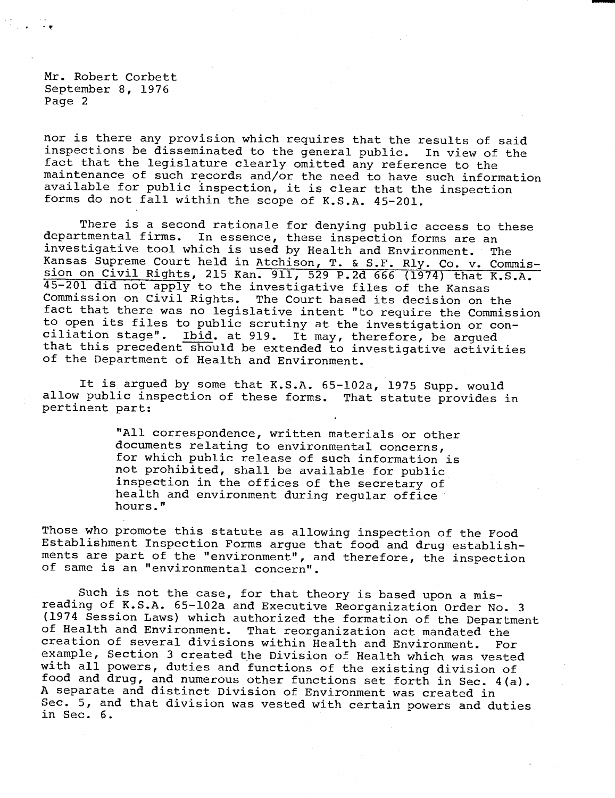Mr. Robert Corbett September 8, 1976 Page 2

nor is there any provision which requires that the results of said inspections be disseminated to the general public. In view of the fact that the legislature clearly omitted any reference to the maintenance of such records and/or the need to have such information available for public inspection, it is clear that the inspection forms do not fall within the scope of K.S.A. 45-201.

There is a second rationale for denying public access to these departmental firms. In essence, these inspection forms are an In essence, these inspection forms are an investigative tool which is used by Health and Environment. The Kansas Supreme Court held in Atchison, T. & S.F. Rly. Co. v. Commission on Civil Rights, 215 Kan. 911, 529 P.2d 666 (1974) that K.S.A. 45-201 did not apply to the investigative files of the Kansas Commission on Civil Rights. The Court based its decision on the fact that there was no legislative intent "to require the Commission to open its files to public scrutiny at the investigation or conciliation stage". Ibid. at 919. It may, therefore, be argued that this precedent should be extended to investigative activities of the Department of Health and Environment.

It is argued by some that K.S.A. 65-102a, 1975 Supp. would allow public inspection of these forms. That statute provides in pertinent part:

> "All correspondence, written materials or other documents relating to environmental concerns, for which public release of such information is not prohibited, shall be available for public inspection in the offices of the secretary of health and environment during regular office hours."

Those who promote this statute as allowing inspection of the Food Establishment Inspection Forms argue that food and drug establishments are part of the "environment", and therefore, the inspection of same is an "environmental concern".

Such is not the case, for that theory is based upon a misreading of K.S.A. 65-102a and Executive Reorganization Order No. 3 (1974 Session Laws) which authorized the formation of the Department of Health and Environment. That reorganization act mandated the That reorganization act mandated the creation of several divisions within Health and Environment. For example, Section 3 created the Division of Health which was vested with all powers, duties and functions of the existing division of food and drug, and numerous other functions set forth in Sec. 4(a). A separate and distinct Division of Environment was created in Sec. 5, and that division was vested with certain powers and duties in Sec. 6.